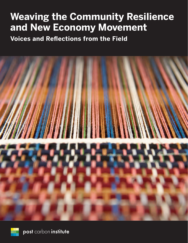# **Weaving the Community Resilience and New Economy Movement**

**Voices and Reflections from the Field**



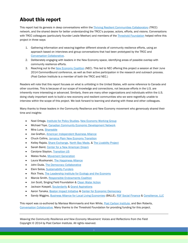# About this report

This report had its genesis in deep conversations within th[e Thriving Resilient Communities Collaboratory](http://thrivingresilience.org/) (TRCC) network, and the shared desire for better understanding the TRCC's purpose, actors, efforts, and visions. Conversations with TRCC colleagues (particularly founder Leslie Meehan) and members of the *Threshold Foundation* helped refine this project in three ways:

- 1. Gathering information and weaving together different strands of community resilience efforts, using an approach based on interviews and group conversations that had been prototyped by the TRCC and [Conversation Collaborative.](http://conversationcollaborative.com/)
- 2. Deliberately engaging with leaders in the New Economy space, identifying areas of possible overlap with community resilience efforts.
- 3. Reaching out to th[e New Economy Coalition](http://neweconomy.net/) (NEC). This led to NEC offering this project a session at their June 2014 CommonBound conference, as well as their active participation in the research and outreach process. (Post Carbon Institute is a member of both the TRCC and NEC.)

Readers will note that this report focuses on what is unfolding in the United States, with some reference to Canada and other countries. This is because of our scope of knowledge and connections, not because efforts in the U.S. are inherently more interesting or advanced. Similarly, there are many other organizations and individuals within the U.S. doing vitally important work to build a new economy and resilient communities who we were regretfully unable to interview within the scope of this project. We look forward to learning and sharing with these and other colleagues.

Many thanks to these leaders in the Community Resilience and New Economy movement who generously shared their time and insights:

- Noel Ortega, [Institute for Policy Studies,](http://www.ips-dc.org/) [New Economy Working Group](http://www.neweconomyworkinggroup.org/)
- Michael Toye, [Canadian Community Economic Development Network](http://ccednet-rcdec.ca/en)
- Mira Luna, [Shareable](http://www.shareable.net/)
- Joe Grafton[, American Independent Business Alliance](http://www.amiba.net/)
- Chuck Collins[, Jamaica Plain New Economy Transition](http://jptransition.org/)
- Kelley Rajala, [Share Exchange,](http://www.shareexchange.coop/) [North Bay Made,](http://www.northbaymade.org/) [& The Livability Project](http://www.livabilityproject.com/)
- Sarah Baird, [Center for a New American Dream](http://www.newdream.org/)
- Carolyne Stayton, [Transition US](http://www.transitionus.org/)
- Mateo Nube, [Movement Generation](http://www.movementgeneration.org/)
- Laura Musikanski, The [Happiness Alliance](http://www.happycounts.org/)
- John Duda, [The Democracy Collaborative](http://democracycollaborative.org/)
- Eleni Sotos, [Sustainability Funders](http://sustainabilityfunders.org/)
- Rick Theis, [The Leadership Institute for Ecology and the Economy](http://ecoleader.org/)
- Marcie Smith[, Responsible Endowments Coalition](http://www.endowmentethics.org/)
- Jon Scott, Singing Field Foundation & [Clean Water Action](http://www.cleanwateraction.org/)
- Jackson Koepell, [Soulardarity](http://www.soulardarity.com/) [& Grand Aspirations](http://grandaspirations.org/)
- Aaron Tanaka, [Boston Impact Initiative](http://bostonimpact.com/) [& Center for Economic Democracy](http://www.newdemocracy.us/)
- Sandy Wiggins[, Business Alliance for Local Living Economies](https://bealocalist.org/) (BALLE), [RSF Social Finance](http://rsfsocialfinance.org/) & [Consilience, LLC](http://www.consilience.net/)

This report was co-authored by Marissa Mommaerts and Ken White, [Post Carbon Institute,](http://www.postcarbon.org/) and Ben Roberts, [Conversation Collaborative.](http://conversationcollaborative.com/) Many thanks to the Threshold Foundation for providing funding for this project.

*Weaving the Community Resilience and New Economy Movement: Voices and Reflections from the Field* Copyright © 2014 by Post Carbon Institute. All rights reserved.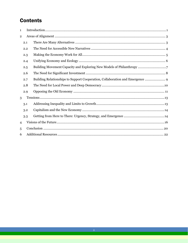# **Contents**

| 1              |     |  |
|----------------|-----|--|
| $\mathbf{2}$   |     |  |
|                | 2.1 |  |
|                | 2.2 |  |
|                | 2.3 |  |
|                | 2.4 |  |
|                | 2.5 |  |
|                | 2.6 |  |
|                | 2.7 |  |
|                | 2.8 |  |
|                | 2.9 |  |
| 3              |     |  |
|                | 3.1 |  |
|                | 3.2 |  |
|                | 3.3 |  |
| $\overline{4}$ |     |  |
| 5              |     |  |
| 6              |     |  |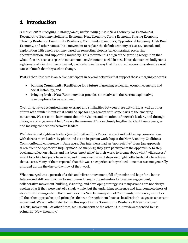# <span id="page-3-0"></span>1 Introduction

*A movement is emerging in many places, under many guises:* New Economy (or Economies), Regenerative Economy, Solidarity Economy, Next Economy, Caring Economy, Sharing Economy, Thriving Resilience, Community Resilience, Community Economics, Oppositional Economy, High Road Economy, and other names. It's a movement to replace the default economy of excess, control, and exploitation with a new economy based on respecting biophysical constraints, preferring decentralization, and supporting mutuality. This movement is a sign of the growing recognition that what often are seen as separate movements—environment, social justice, labor, democracy, indigenous rights—are all deeply interconnected, particularly in the way that the current economic system is a root cause of much that they seek to change.

Post Carbon Institute is an active participant in several networks that support these emerging concepts:

- building **Community Resilience** for a future of growing ecological, economic, energy, and social instability, and
- bringing forth a **New Economy** that provides alternatives to the current exploitative, consumption-driven economy.

Over time, we've recognized many overlaps and similarities between these networks, as well as other efforts with similar intents that could be ripe for engagement with some parts of the emerging movement. We set out to learn more about the visions and intentions of network leaders, and through dialogue and engagement help "weave the movement" more closely together by identifying synergies and making connections between leaders.

We interviewed eighteen leaders (see list in About this Report, above) and held group conversations with dozens more leaders by phone and via an in-person workshop at the New Economy Coalition's CommonBound conference in June 2014. Our interviews had an "appreciative" focus (an approach taken from the Appreciate Inquiry model of analysis); they gave participants the opportunity to step back and reflect on what is and has been "most alive" in their work, to dream about what "wild success" might look like five years from now, and to imagine the next steps we might collectively take to achieve that success. Many of them reported that this was an experience they valued—one that was not generally afforded during the day-to-day flow of their work.

What emerged was a portrait of a rich and vibrant movement, full of promise and hope for a better future—and still very much in formation—with many opportunities for creative engagement, collaborative movement-building, visioning, and developing strategy. Its many strands are not always spoken of as if they were part of a single whole, but the underlying coherence and interconnectedness of its various framings—both the main ideas of a New Economy and of Community Resilience, as well as all the other approaches and principles that run through them (such as localization)—suggests a nascent movement. We will often refer to it in this report as the "Community Resilience & New Economy (CRNE) movement." At other times, we use one term or the other. Our interviewees tended to use primarily "New Economy."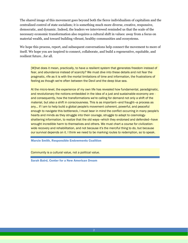The shared image of this movement goes beyond both the fierce individualism of capitalism and the centralized control of state socialism; it is something much more diverse, creative, responsive, democratic, and dynamic. Indeed, the leaders we interviewed reminded us that the scale of the necessary economic transformation also requires a cultural shift in values: away from a focus on material wealth, and toward building vibrant, healthy communities and ecosystems.

We hope this process, report, and subsequent conversations help connect the movement to more of itself. We hope you are inspired to connect, collaborate, and build a regenerative, equitable, and resilient future…for all.

[W]hat does it mean, practically, to have a resilient system that generates freedom instead of fear, and abundance instead of scarcity? We must dive into these details and not fear the pragmatic, rife as it is with the mortal limitations of time and information, the frustrations of feeling as though we're often between the Devil and the deep blue sea.

At the micro-level, the experience of my own life has revealed how fundamental, paradigmatic, and revolutionary the notions embedded in the idea of a just and sustainable economy are and consequently, how the transformations we're calling for demand not only a shift of the material, but also a shift in consciousness. This is as important—and fraught—a process as any… If I am to help build a global people's movement coherent, powerful, and peaceful enough to navigate this bottleneck, I must bear in mind the conflict occurring in many people's hearts and minds as they struggle into their courage, struggle to adapt to cosmologyshattering information, to realize that the old ways—which they endorsed and defended—have wrought incredible harm to themselves and others. We must chart a course for civilizationwide recovery and rehabilitation, and not because it's the merciful thing to do, but because our survival depends on it. I think we need to be marking routes to redemption, so to speak.

Marcie Smith, Responsible Endowments Coalition

Community is a cultural value, not a political value.

Sarah Baird, Center for a New American Dream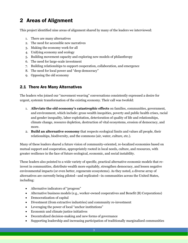# <span id="page-5-0"></span>2 Areas of Alignment

This project identified nine areas of alignment shared by many of the leaders we interviewed:

- 1. There are many alternatives
- 2. The need for accessible new narratives
- 3. Making the economy work for all
- 4. Unifying economy and ecology
- 5. Building movement capacity and exploring new models of philanthropy
- 6. The need for large-scale investment
- 7. Building relationships to support cooperation, collaboration, and emergence
- 8. The need for local power and "deep democracy"
- 9. Opposing the old economy

### <span id="page-5-1"></span>2.1 There Are Many Alternatives

The leaders who joined our "movement weaving" conversations consistently expressed a desire for urgent, systemic transformation of the existing economy. Their call was twofold:

- 1. **Alleviate the old economy's catastrophic effects** on families, communities, government, and environment, which include: gross wealth inequities, poverty and public health crises, racial and gender inequality, labor exploitation, deterioration of quality of life and relationships, climate change, resource depletion, destruction of vital ecosystems, erosion of democracy, and more.
- 2. **Build an alternative economy** that respects ecological limits and values all people, their relationships, biodiversity, and the commons (air, water, culture, etc.).

Many of these leaders shared a future vision of community-oriented, re-localized economies based on mutual support and cooperation, appropriately rooted in local needs, culture, and resources, with greater resilience in the face of future ecological, economic, and social instability.

These leaders also pointed to a wide variety of specific, practical alternative economic models that reinvest in communities, distribute wealth more equitably, strengthen democracy, and lessen negative environmental impacts (or even better, regenerate ecosystems). As they noted, a diverse array of alternatives are currently being piloted—and replicated—in communities across the United States, including:

- Alternative indicators of "progress"
- Alternative business models (e.g., worker-owned cooperatives and Benefit (B) Corporations)
- Democratization of capital
- Divestment (from extractive industries) and community re-investment
- Leveraging the power of local "anchor institutions"
- Economic and climate justice initiatives
- Decentralized decision-making and new forms of governance
- Supporting leadership and increasing participation of traditionally marginalized communities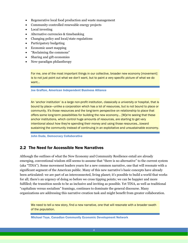- Regenerative local food production and waste management
- Community-controlled renewable energy projects
- Local investing
- Alternative currencies & timebanking
- Changing policy and local/state regulations
- Participatory budgeting
- Economic asset mapping
- "Reclaiming the commons"
- Sharing and gift economies
- New-paradigm philanthropy

For me, one of the most important things in our collective, broader new economy [movement] is to not just point out what we don't want, but to paint a very specific picture of what we do want…

Joe Grafton, American Independent Business Alliance

An 'anchor institution' is a large non-profit institution, classically a university or hospital, that is bound by place—unlike a corporation which has a lot of resources, but is not bound to place or community. It's those resources and the long-term perspective on relationship to place that offers some long-term possibilities for building the new economy... [W]e're seeing that these anchor institutions, which control huge amounts of resources, are starting to get very intentional about how they're spending their money and using those resources…toward sustaining the community instead of continuing in an exploitative and unsustainable economy.

John Duda, Democracy Collaborative

### <span id="page-6-0"></span>2.2 The Need for Accessible New Narratives

Although the outlines of what the New Economy and Community Resilience entail are already emerging, conventional wisdom still seems to assume that "there is no alternative" to the current system (aka "TINA"). Some movement leaders yearn for a new common narrative, one that will resonate with a significant segment of the American public. Many of this new narrative's basic concepts have already been articulated: we are part of an interconnected, living planet; it's possible to build a world that works for all; there's an urgency of doing so before we cross tipping points; we can be happier and more fulfilled; the transition needs to be as inclusive and inviting as possible. Yet TINA, as well as traditional "capitalism versus socialism" framings, continues to dominate the general discourse. Many organizations are addressing this narrative creation task and might benefit from greater collaboration.

We need to tell a new story, find a new narrative, one that will resonate with a broader swath of the population.

Michael Toye, Canadian Community Economic Development Network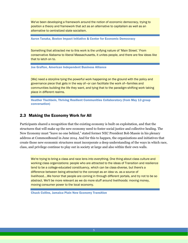We've been developing a framework around the notion of economic democracy, trying to position a theory and framework that act as an alternative to capitalism as well as an alternative to centralized state socialism.

Aaron Tanaka, Boston Impact Initiative & Center for Economic Democracy

Something that attracted me to this work is the unifying nature of 'Main Street.' From conservative Alabama to liberal Massachusetts, it unites people, and there are few ideas like that to latch on to.

Joe Grafton, American Independent Business Alliance

[We] need a storyline tying the powerful work happening on the ground with the policy and governance piece that gets in the way of—or can facilitate the work of—families and communities building the life they want, and tying that to the paradigm-shifting work taking place in different realms.

Heather Tischbein, Thriving Resilient Communities Collaboratory (from May 13 group conversation)

### <span id="page-7-0"></span>2.3 Making the Economy Work for All

Participants shared a recognition that the existing economy is built on exploitation, and that the structures that will make up the new economy need to foster social justice and collective healing. The New Economy must "leave no one behind," stated former NEC President Bob Massie in his plenary address at CommonBound in June 2014. And for this to happen, the organizations and initiatives that create those new economic structures must incorporate a deep understanding of the ways in which race, class, and privilege continue to play out in society at large and also within their own walls.

We're trying to bring a class and race lens into everything. One thing about class culture and working class organizations: people who are attracted to the ideas of Transition and resilience tend to be a college-educated constituency, which can be class-diverse, but there's a difference between being attracted to the concept as an idea vs. as a source of livelihood….We honor that people are coming in through different portals, and try not to be so abstract. We'll be more relevant as we do more stuff around livelihoods: moving money, moving consumer power to the local economy.

Chuck Collins, Jamaica Plain New Economy Transition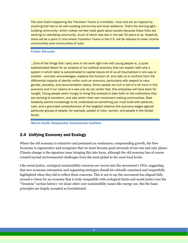The work that's happening like Transition Towns is incredible. I love and am so inspired by anything that has to do with building community and local resilience. That's the shining light building community—which makes me feel really good about society because these folks are working on rebuilding community, much of which was lost in the last 50 years or so. Hopefully there will be a point in time where Transition Towns in the U.S. will be relevant to lower income communities and communities of color.

### Funder Advocate

…[One of the things that I see] alive in the work right now with young people is…a quite sophisticated desire for an analysis of our political economy that can explain both why a system in which labor is subordinated to capital leaves all of us all traumatized in one way or another - and also acknowledges, explains the function of, and calls us to confront from the differential impacts of identity within such an economy, particularly with respect to race, gender, sexuality, and documentation status. Some people are hurt a hell of a lot more in this economy and if our visions of a new one do not center that, this enterprise will have been for naught. Young people seem hungry to bring this analysis to bear both on the institutions they are working to transform, and also within their own movement-making communities. Real solidarity seems increasingly to be understood as something you must build with patience, care, and a grounded comprehension of the targeted violence this economy wages against particular groups of people, for example, people of color, women, and people in the Global South.

Marcie Smith, Responsible Endowments Coalition

# <span id="page-8-0"></span>2.4 Unifying Economy and Ecology

Where the old economy is extractive and premised on continuous, compounding growth, the New Economy is regenerative and recognizes that we must become good stewards of our one and only planet. Climate change is the signature issue bringing this into focus, although the old economy has of course created myriad environmental challenges from the most global to the most local levels.

Like social justice, ecological sustainability concerns are woven into the movement's DNA, suggesting that new economy enterprises and organizing strategies should be critically examined and respectfully highlighted when they fail to reflect these concerns. This is not to say the movement has aligned fully around a vision for an economy that is truly compatible with ecological limits and social justice (see the "Tensions" section below)—let alone other core sustainability issues like energy use. But the basic principles are largely accepted as foundational.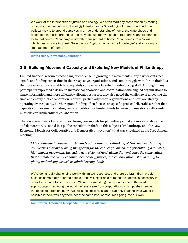We work at the intersection of justice and ecology. We often start any conversation by rooting ourselves in appreciation that ecology literally means "knowledge of home," and part of our political task is to ground ourselves in a true understanding of home: the watersheds and foodsheds that exist around us and truly feed us, that we need to re-prioritize and re-connect to. In that context "Economy" is literally management of home. "Eco" comes from "oikos" which means home in Greek. So ecology is "logic of home/home knowledge" and economy is "management of home."

Mateo Nube, Movement Generation

### <span id="page-9-0"></span>2.5 Building Movement Capacity and Exploring New Models of Philanthropy

Limited financial resources pose a major challenge in growing the movement: many participants face significant funding constraints in their respective organizations, and some struggle with "brain drain" as their organizations are unable to adequately compensate talented, hard-working staff. Although many participants expressed a desire to increase collaboration and coordination with aligned organizations to share information and more efficiently allocate resources, they also noted the challenge of allocating the time and energy that collaboration requires, particularly when organizations and staff are already operating over capacity. Further, grant funding often focuses on specific project deliverables rather than capacity- or movement-building, and competition for limited funds between organizations with similar missions can disincentivize collaboration.

There is a great deal of interest in exploring new models for philanthropy that are more collaborative and democratic. As noted in a public consultation draft on this subject ("Philanthropy and the New Economy: Models for Collaborative and Democratic Innovation") that was circulated at the NEC Annual Meeting:

*[A] broad-based movement… demands a fundamental rethinking of NEC member funding approaches that are proving insufficient for the challenges ahead and for building a durable, high impact movement. Instead, a new vision of fundraising that embodies the same values that animate the New Economy—democracy, justice, and collaboration—should apply to giving and raising, as well as administering, funds.*

We're doing really challenging work with limited resources, and there's a brain drain problem because some really talented people aren't willing or able to make the sacrifices necessary in order to continue to do this work… We're up against big money and some of the most sophisticated marketing the world has ever seen from corporations, which pushes people in the opposite direction; but we've still seen successes, and I can only imagine what would be possible if there was anywhere near the same level of resources going into our work.

Joe Grafton, American Independent Business Alliance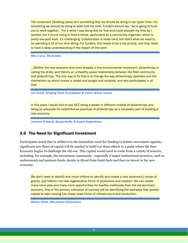The movement [building] piece isn't something that we should be doing in our spare time—it's something we should be doing at least half the time. Funders should say "we're going to fund you to work together." For a while I was doing this for free and could allocate my time as I wanted, but if you're trying to feed a family, particularly as a community organizer, which is pretty low-paid work, it's challenging. Collaboration is really hard, but that's what we need to be spending a lot of our time doing. For funders, this needs to be a top priority, and they need to have a deep understanding of the impact of this work.

Mira Luna, Shareable

…[W]ithin the new economy and more broadly in the environmental movement, philanthropy is calling the shots, and there's an unhealthy power relationship between the NGO community and philanthropy. The only way to fix that is to change the way philanthropy operates and the mechanism by which money is raised and sought and received, and who participates in all that.

Jon Scott, Singing Field Foundation & Clean Water Action

In five years I would love to see NEC being a leader in different models of philanthropy and being an advocate for redistributive practices of philanthropy as a necessary part of building a new economy.

Jackson Koepell, Soulardarity & Grand Aspirations

### <span id="page-10-0"></span>2.6 The Need for Significant Investment

Participants noted that in addition to the immediate need for funding to bolster movement capacity, significant new flows of capital will be needed to build out these efforts to a point where the New Economy begins to challenge the old one. This capital would need to come from a variety of sources, including, for example, the investment community—especially if major institutional investors, such as endowments and pension funds, decide to divest from fossil fuels and then re-invest in the new economy.

We don't need to identify and move trillions to identify and create a new [economic] center of gravity, just billions into new regenerative forms of production and creation. We can create many more jobs and many more opportunities for healthy livelihoods than the old dominant economy. One of the primary indicators of success will be identifying the pathways that enable capital to start moving into these news forms of infrastructure and production.

Mateo Nube, Movement Generation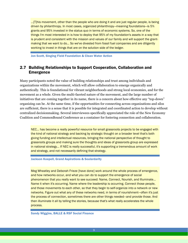…[T]his movement, other than the people who are doing it and are just regular people, is being driven by philanthropy. In most cases, organized philanthropy—meaning foundations—is 5% grants and 95% invested in the status quo in terms of economic systems. So, one of the things I'm most interested in is how to deploy that 95% of my foundation's assets in a way that is prudent and consistent with the mission and values of our family and will support the grantmaking that we want to do… So we've divested from fossil fuel companies and are diligently working to invest in things that are on the solution side of the ledger.

Jon Scott, Singing Field Foundation & Clean Water Action

### <span id="page-11-0"></span>2.7 Building Relationships to Support Cooperation, Collaboration and Emergence

Many participants noted the value of building relationships and trust among individuals and organizations within the movement, which will allow collaboration to emerge organically and authentically. This is foundational for vibrant neighborhoods and strong local economies, and for the movement as a whole. Given the multi-faceted nature of the movement, and the large number of initiatives that are coming together in its name, there is a concern about how effective any "top-down" organizing can be. At the same time, if the opportunities for connecting across organizations and silos are sufficient, there is a sense that it is possible for integrated and coordinated action to develop without centralized decisionmaking. Several interviewees specifically appreciated the role of the New Economy Coalition and CommonBound Conference as a container for fostering connection and collaboration.

NEC... has become a really powerful resource for small grassroots projects to be engaged with the kind of national strategy and backing by strategic thought on a broader level that's both giving funding and intellectual resources, bringing the national perspective of thought to grassroots groups and making sure the thoughts and ideas of grassroots group are expressed in national strategy... If NEC is really successful, it's supporting a tremendous amount of work and strategy, and not necessarily defining that strategy.

Jackson Koepell, Grand Aspirations & Soulardarity

Meg Wheatley and Deborah Frieze [have done] work around the whole process of emergence, and how networks occur, and what you can do to support the emergence of social phenomenon that you really want to see succeed: Name, Connect, Nourish, and Illuminate… Name it when it's occurring. Name where the leadership is occurring. Connect those people, and those movements to each other, so that they begin to self-organize into a network or new networks. Figure out what any of these networks need, in terms of nourishment—often it's just the process of connection, sometimes there are other things needed—and provide those. And then illuminate it all by telling the stories, because that's what really accelerates the whole process.

Sandy Wiggins, BALLE & RSF Social Finance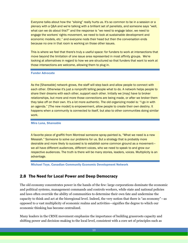Everyone talks about how the "siloing" really hurts us. It's so common to be in a session or a plenary with a Q&A and we're talking with a brilliant set of panelists, and someone says "well, what can we do about this?" and the response is "we need to engage labor, we need to engage the workers' rights movement, we need to look at sustainable development and economic models, etc." and everyone nods their head but then the conversation ends because no one in that room is working on those other issues.

This is where we feel that there's truly a useful space: for funders to work at intersections that move beyond the limitation of one issue area represented in most affinity groups. We're looking at alternatives in regard to how we are structured so that funders that want to work at those intersections are welcome, allowing them to plug in.

### Funder Advocate

As the [Shareable] network grows, the staff will step back and allow people to connect with each other. Otherwise it's just a nonprofit telling people what to do. A network helps people to share their dreams with each other, support each other. Initially we [may] have to broker relationships, but more and more those connections are being made, or after we broker them they take off on their own. It's a lot more authentic. The old organizing model is: "I go in with an agenda." [The new model] is empowerment, allow people to create their own destiny. It happens when a community is connected to itself, but also to other communities doing similar work.

### Mira Luna, Shareable

A favorite piece of graffiti from Montreal someone spray-painted is, "What we need is a new Messiah." Someone to solve our problems for us. But a strategy that is probably more desirable and more likely to succeed is to establish some common ground as a movement we all have different audiences, different voices, who we need to speak to and grow our respective audiences. The truth is there will be many stories, leaders, voices. Multiplicity is an advantage.

Michael Toye, Canadian Community Economic Development Network

### <span id="page-12-0"></span>2.8 The Need for Local Power and Deep Democracy

The old economy concentrates power in the hands of the few: large corporations dominate the economic and political systems, management commands and controls workers, while state and national policies and laws often override the ability of communities to determine their own fate and undermine the capacity to think and act at the bioregional level. Indeed, the very notion that there is "an economy"—as opposed to a vast multiplicity of economic realms and activities—signifies the degree to which our economic thinking has become centralized.

Many leaders in the CRNE movement emphasize the importance of building grassroots capacity and shifting power and decision-making to the local level, consistent with a core set of principles such as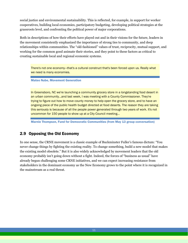social justice and environmental sustainability. This is reflected, for example, in support for worker cooperatives, building local economies, participatory budgeting, developing political strategies at the grassroots level, and confronting the political power of major corporations.

Both in descriptions of how their efforts have played out and in their visions for the future, leaders in the movement consistently emphasized the importance of strong ties to community, and deep relationships within communities. The "old-fashioned" values of trust, reciprocity, mutual support, and working for the common good animate their stories, and they point to these factors as critical to creating sustainable local and regional economic systems.

There's not one economy—that's a cultural construct that's been forced upon us. Really what we need is many economies.

Mateo Nube, Movement Generation

In Greensboro, NC we're launching a community grocery store in a longstanding food desert in an urban community...and last week, I was meeting with a County Commissioner. They're trying to figure out how to move county money to help open the grocery store, and to have an ongoing piece of the public health budget directed at food deserts. The reason they are taking this seriously is because of all the people power generated through two years of work. It's not uncommon for 150 people to show up at a City Council meeting…

Marnie Thompson, Fund for Democratic Communities (from May 13 group conversation)

# <span id="page-13-0"></span>2.9 Opposing the Old Economy

In one sense, the CRNE movement is a classic example of Buckminster Fuller's famous dictum: "You never change things by fighting the existing reality. To change something, build a new model that makes the existing model obsolete." But it is also widely acknowledged by movement leaders that the old economy probably isn't going down without a fight. Indeed, the forces of "business as usual" have already begun challenging some CRNE initiatives, and we can expect increasing resistance from stakeholders in the dominant economy as the New Economy grows to the point where it is recognized in the mainstream as a real threat.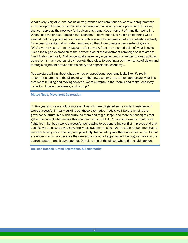What's very, very alive and has us all very excited and commands a lot of our programmatic and conceptual attention is precisely the creation of a visionary and oppositional economy that can serve as the new way forth, given this tremendous moment of transition we're in... When I use the phrase "oppositional economy" I don't mean just naming something we're against, but by oppositional we mean creating a set of economies that are contesting actively for access to capital, labor, water, and land so that it can create a new center of gravity... [W]e're very invested in many aspects of that work, from the nuts and bolts of what it looks like to really give expression to the "invest" side of the divestment campaign as it relates to fossil fuels specifically. And conceptually we're very engaged and committed to deep political education in many sectors of civil society that relate to creating a common sense of vision and strategic alignment around this visionary and oppositional economy...

[A]s we start talking about what the new or oppositional economy looks like, it's really important to ground in the pillars of what the new economy are, to then appreciate what it is that we're building and moving towards. We're currently in the "banks and tanks" economy rooted in "bosses, bulldozers, and buying."

### Mateo Nube, Movement Generation

[In five years] if we are wildly successful we will have triggered some virulent resistance. If we're successful in really building out these alternative models we'll be challenging the governance structures which surround them and trigger larger and more serious fights that get at the core of what makes this economic structure tick. I'm not sure exactly what those fights look like, but if we're successful we're going to be generating conflict in places and that conflict will be necessary to have the whole system transition. At the table [at CommonBound] we were talking about the very real possibility that in 5-10 years there are cities in the US that are under martial law because the new economy work happening will be ungovernable by the current system—and it came up that Detroit is one of the places where that could happen.

Jackson Koepell, Grand Aspirations & Soulardarity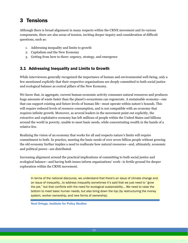# <span id="page-15-0"></span>3 Tensions

Although there is broad alignment in many respects within the CRNE movement and its various components, there are also areas of tension, inviting deeper inquiry and consideration of difficult questions, such as:

- 1. Addressing inequality and limits to growth
- 2. Capitalism and the New Economy
- 3. Getting from here to there: urgency, strategy, and emergence

# <span id="page-15-1"></span>3.1 Addressing Inequality and Limits to Growth

While interviewees generally recognized the importance of human and environmental well-being, only a few mentioned explicitly that their respective organizations are deeply committed to both social justice and ecological balance as central pillars of the New Economy.

We know that, in aggregate, current human economic activity consumes natural resources and produces huge amounts of waste faster than the planet's ecosystems can regenerate. A sustainable economy—one that can support existing and future levels of human life—must operate within nature's bounds. This will require reduced levels of resource consumption, and is not compatible with an economy that requires infinite growth. Moreover, as several leaders in the movement point out explicitly, the extractive and exploitative economy has left millions of people within the United States and billions around the world in poverty, unable to meet basic needs, while concentrating wealth in the hands of a relative few.

Realizing the vision of an economy that works for all and respects nature's limits will require commitment to both. In practice, meeting the basic needs of over seven billion people without growing the old economy further implies a need to reallocate how natural resources—and, ultimately, economic and political power—are distributed.

Increasing alignment around the practical implications of committing to both social justice and ecological balance—and having both issues inform organizations' work—is fertile ground for deeper exploration within the CRNE movement.

In terms of the national discourse, we understand that there's an issue of climate change and an issue of inequality…to address inequality sometimes it's said that we just need to "grow the pie," but that conflicts with the need for ecological sustainability... We need to raise the bottom to meet basic human needs, but also bring down the top (by restructuring the money system, worker ownership, and new forms of ownership).

Noel Ortega, Institute for Policy Studies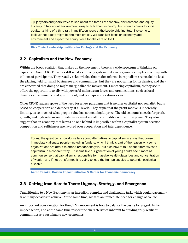…[F]or years and years we've talked about the three Es: economy, environment, and equity. It's easy to talk about environment, easy to talk about economy, but when it comes to social equity, it's kind of a third rail. In my fifteen years at the Leadership Institute, I've come to believe that equity might be the most critical. We can't just focus on economy and environment and expect the equity piece to take care of itself.

Rick Theis, Leadership Institute for Ecology and the Economy

# <span id="page-16-0"></span>3.2 Capitalism and the New Economy

Within the broad coalition that makes up the movement, there is a wide spectrum of thinking on capitalism. Some CRNE leaders still see it as the only system that can organize a complex economy with billions of participants. They readily acknowledge that major reforms in capitalism are needed to level the playing field for small businesses and communities, but they are not calling for its demise, and they are concerned that doing so might marginalize the movement. Embracing capitalism, as they see it, offers the opportunity to ally with powerful mainstream forces and organizations, such as local chambers of commerce and government, and perhaps corporations as well.

Other CRNE leaders spoke of the need for a new paradigm that is neither capitalist nor socialist, but is based on cooperation and democracy at all levels. They argue that the profit motive is inherently limiting, as so much of what people value has no meaningful price. The old economy's needs for profit, growth, and high returns on private investment are all incompatible with a finite planet. They also suggest that an economy that leaves no one behind is impossible within a capitalist system because competition and selfishness are favored over cooperation and interdependence.

For us, the question is how do we talk about alternatives to capitalism in a way that doesn't immediately alienate people—including funders, which I think is part of the reason why some organizations are afraid to offer a broader analysis—but also how to talk about alternatives to capitalism in a coherent way... It seems like our generation of young adults see it more as common sense that capitalism is responsible for massive wealth disparities and concentration of wealth, and if not transformed it is going to lead the human species to potential ecological disaster.

Aaron Tanaka, Boston Impact Initiative & Center for Economic Democracy

# <span id="page-16-1"></span>3.3 Getting from Here to There: Urgency, Strategy, and Emergence

Transitioning to a New Economy is an incredibly complex and challenging task, which could reasonably take many decades to achieve. At the same time, we face an immediate need for change of course.

An important consideration for the CRNE movement is how to balance the desire for urgent, highimpact action, and at the same time respect the characteristics inherent to building truly resilient communities and sustainable new economies: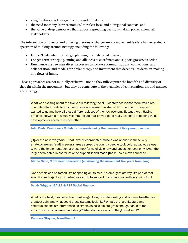- a highly diverse set of organizations and initiatives,
- the need for many "new economies" to reflect local and bioregional contexts, and
- the value of deep democracy that supports spreading decision-making power among all stakeholders.

The intersection of urgency and differing theories of change among movement leaders has generated a spectrum of thinking around *strategy*, including the following:

- Expert/leader-driven strategic planning to create rapid change,
- Longer-term strategic planning and alliances to coordinate and support grassroots action,
- Emergence via new narratives, processes to increase communications, connections, and collaboration, and models for philanthropy and investment that decentralize decision-making and flows of funds.

These approaches are not mutually exclusive—nor do they fully capture the breadth and diversity of thought within the movement—but they do contribute to the dynamics of conversations around urgency and strategy.

What was exciting about the five years following the NEC conference is that there was a real concrete effort made to articulate a vision, a sense of a shared horizon about where we wanted to go and how all these different pieces of the new economy fit together.... Having effective networks to actually communicate that proved to be really essential in helping these developments accelerate each other.

John Duda, Democracy Collaborative (envisioning the movement five years from now)

[O]ver the next five years…, that level of coordinated muscle was applied in these very strategic arenas [and] in several areas across the country people took bold, audacious steps toward the implementation of these new forms of visionary and opposition economy. [And] the larger body acted in coordination to support it and made [those] bold moves succeed.

Mateo Nube, Movement Generation (envisioning the movement five years from now)

None of this can be forced. It's happening on its own. It's emergent activity. It's part of that evolutionary trajectory. But what we can do to support it is to be constantly scanning for it.

### Sandy Wiggins, BALLE & RSF Social Finance

What is the best, most effective, most elegant way of collaborating and working together for greatest gain, and what could those systems look like? What's that architecture and communications structure that's as simple as possible but gives enough bones to the structure so it is coherent and strong? What do the groups on the ground want?

Carolyne Stayton, Transition US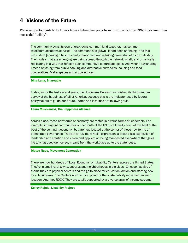# <span id="page-18-0"></span>4 Visions of the Future

We asked participants to look back from a future five years from now in which the CRNE movement has succeeded "wildly":

The community owns its own energy, owns common land together, has common telecommunications services. The commons has grown—it had been shrinking—and this network of [sharing] cities has really blossomed and is taking ownership of its own destiny. The models that are emerging are being spread through the network, virally and organically, replicating in a way that reflects each community's culture and goals. And when I say sharing I mean anything from public banking and alternative currencies, housing and food cooperatives, Makerspaces and art collectives.

#### Mira Luna, Shareable

Today, as for the last several years, the US Census Bureau has finished its third random survey of the happiness of all of America, because this is the indicator used by federal policymakers to guide our future. States and localities are following suit.

#### Laura Musikanski, The Happiness Alliance

Across place, these new forms of economy are rooted in diverse forms of leadership. For example, immigrant communities of the South of the US have literally been at the heel of the boot of the dominant economy, but are now located at the center of these new forms of democratic governance. There is a truly multi-racial expression, a cross-class expression of leadership and creation and vision and application being manifested everywhere that gives life to what deep democracy means from the workplace up to the statehouse.

#### Mateo Nube, Movement Generation

There are now hundreds of 'Local Economy' or 'Livability Centers' across the United States. They're in small rural towns, suburbs and neighborhoods in big cities—Chicago has five of them! They are physical centers and the go-to place for education, action and starting new local businesses. The Centers are the focal point for the sustainability movement in each location. And they ROCK! They are totally supported by a diverse array of income streams.

#### Kelley Rajala, Livability Project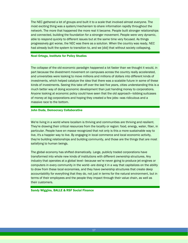The NEC gathered a lot of groups and built it to a scale that involved almost everyone. The most exciting thing was a system/mechanism to share information rapidly throughout the network. The more that happened the more real it became. People built stronger relationships and connected, building the foundation for a stronger movement. People were very dynamic, able to respond quickly to different issues but at the same time very focused. As things progressively got worse, the NEC was there as a solution. When the country was ready, NEC had already built the system to transition to, and we [did] that without society collapsing.

#### Noel Ortega, Institute for Policy Studies

The collapse of the old economic paradigm happened a lot faster than we thought it would, in part because the divestment movement on campuses across the country really accelerated, and universities were looking to move millions and millions of dollars into different kinds of investments, which helped catalyze the idea that there was a scalable future in some of these kinds of investments. Seeing this take off over the last five years, cities understanding this is a much better way of doing economic development than just handing money to corporations. Anyone looking at economic policy could have seen that the old approach—lobbing suitcases of money at big corporations and hoping they created a few jobs—was ridiculous and a massive race to the bottom.

#### John Duda, Democracy Collaborative

We're living in a world where localism is thriving and communities are thriving and resilient. They're drawing their critical resources from the locality or region: food, energy, water, fiber, in particular. People have *en masse* recognized that not only is this a more sustainable way to live, it's a happier way to live. By engaging in local commerce and local economic activity, they're building relationships and building community, and those are the things that are most satisfying to human beings.

The global economy has shifted dramatically. Large, publicly traded corporations have transformed into whole new kinds of institutions with different ownership structures. Any industry that operates at a global level–because we're never going to produce jet engines or computers in every community in the world–are doing it in a way that capitalizes on the ability to draw from these local economies, and they have ownership structures that create deep accountability for everything that they do, not just in terms for the natural environment, but in terms of their employees and the people they impact through their value chain, as well as their customers.

Sandy Wiggins, BALLE & RSF Social Finance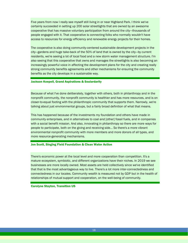Five years from now I really see myself still living in or near Highland Park. I think we've certainly succeeded in setting up 200 solar streetlights that are owned by an awesome cooperative that has massive voluntary participation from around the city—thousands of people engaged with it. That cooperative is connecting folks who normally wouldn't have access to resources for energy efficiency and renewable energy projects for their homes.

The cooperative is also doing community-centered sustainable development projects in the city—gardens and huge take-back of the 50% of land that is owned by the city—by current residents, we're seeing a lot of local food and a new storm water management structure. I'm also seeing that this cooperative that owns and manages the streetlights is also becoming an increasingly powerful voice in affecting the development plans for the city and creating really strong community benefits agreements and other mechanisms for ensuring the community benefits as the city develops in a sustainable way.

#### Jackson Koepell, Grand Aspirations & Soulardarity

Because of what I've done deliberately, together with others, both in philanthropy and in the nonprofit community, the nonprofit community is healthier and has more resources, and is on closer-to-equal footing with the philanthropic community that supports them. Narrowly, we're talking about just environmental groups, but a fairly broad definition of what that means.

This has happened because of the investments my foundation and others have made in community enterprises, and in alternatives to coal and [other] fossil fuels, and in companies with a social benefit mission. And also, innovating in philanthropy so there are more ways for people to participate, both on the giving and receiving side… So there's a more vibrant environmental nonprofit community with more members and more donors of all types, and more resource-generating mechanisms.

#### Jon Scott, Singing Field Foundation & Clean Water Action

There's economic power at the local level and more cooperation than competition. It's a mature ecosystem, symbiotic, and different organizations have their niches. In 2019 we see businesses are more locally owned. Most assets are held collectively since we've identified that that is the most advantageous way to live. There's a lot more inter-connectedness and connectedness in our locales. Community wealth is measured not by GDP but in the health of relationships of mutual support and cooperation, on the well-being of community.

Carolyne Stayton, Transition US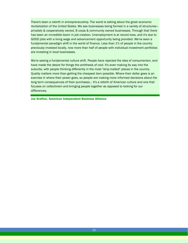There's been a rebirth in entrepreneurship. The world is talking about the great economic revitalization of the United States. We see businesses being formed in a variety of structures privately & cooperatively owned, B corps & community owned businesses. Through that there has been an incredible boom in job creation. Unemployment is at record lows, and it's due to GOOD jobs with a living wage and advancement opportunity being provided. We've seen a fundamental paradigm shift in the world of finance. Less than 1% of people in the country previously invested locally, now more than half of people with individual investment portfolios are investing in local businesses.

We're seeing a fundamental culture shift. People have rejected the idea of consumerism, and have made the desire for things the antithesis of cool. It's even making its way into the suburbs, with people thinking differently in the most "strip-malled" places in the country. Quality matters more than getting the cheapest item possible. Where their dollar goes is an exercise in where their power goes, so people are making more informed decisions about the long term consequences of their purchases… It's a rebirth of American culture and one that focuses on collectivism and bringing people together as opposed to looking for our differences.

Joe Grafton, American Independent Business Alliance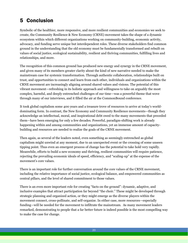# <span id="page-22-0"></span>5 Conclusion

Symbolic of the healthier, more responsive, and more resilient communities and economies we seek to create, the Community Resilience & New Economy (CRNE) movement takes the shape of a dynamic ecosystem within which different organizations working on community-building, economic activity, advocacy, and funding serve unique but interdependent roles. These diverse stakeholders find common ground in the understanding that the old economy must be fundamentally transformed and rebuilt on values of social justice, ecological sustainability, resilient and thriving communities, fulfilling lives and relationships, and more.

The recognition of this common ground has produced new energy and synergy in the CRNE movement, and given many of its members greater clarity about the kind of new narrative needed to make the mainstream case for systemic transformation. Through authentic collaboration, relationships built on trust, and opportunities to connect and learn from each other, individuals and organizations within the CRNE movement are increasingly aligning around shared values and visions. The potential of this vibrant movement—refreshing in its holistic approach and willingness to take on arguably the most complex, harmful, and deeply entrenched challenges of our time—was a powerful theme that wove through many of our interviews, and it filled the air at the CommonBound conference.

It took global capitalism some 400 years and a treasure trove of resources to arrive at today's worlddominating form. In contrast, the New Economy and Community Resilience movements—though they acknowledge an intellectual, moral, and inspirational debt owed to the many movements that preceded them—have been emerging for only a few decades. Powerful, paradigm-shifting work is already happening within and among communities and organizations, yet an immense amount of capacitybuilding and resources are needed to realize the goals of the CRNE movement.

Then again, as several of the leaders noted, even something as seemingly entrenched as global capitalism might unwind at any moment, due to an unexpected event or the crossing of some unseen tipping point. Thus even an emergent process of change has the potential to take hold very rapidly. Meanwhile, efforts to build a new economy and thriving, resilient communities will require patience, rejecting the prevailing economic ideals of speed, efficiency, and "scaling-up" at the expense of the movement's core values.

There is an important role for further conversation around the core values of the CRNE movement, including the relative importance of social justice, ecological balance, and empowered communities as central pillars, and the level of shared commitment to those values.

There is an even more important role for creating "facts on the ground": dynamic, adaptive, and inclusive examples that attract participation far beyond "the choir." These might be developed through strategic planning and organized action, or they might emerge as the diverse players within the movement connect, cross-pollinate, and self-organize. In either case, more resources—especially funding—will be needed for the movement to infiltrate the mainstream. As many movement leaders remarked, demonstrating to people that a far better future is indeed possible is the most compelling way to make the case for change.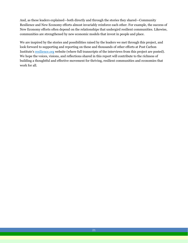And, as these leaders explained—both directly and through the stories they shared—Community Resilience and New Economy efforts almost invariably reinforce each other. For example, the success of New Economy efforts often depend on the relationships that undergird resilient communities. Likewise, communities are strengthened by new economic models that invest in people and place.

We are inspired by the stories and possibilities raised by the leaders we met through this project, and look forward to supporting and reporting on these and thousands of other efforts at Post Carbon Institute's [resilience.org](http://www.resilience.org/) website (where full transcripts of the interviews from this project are posted). We hope the voices, visions, and reflections shared in this report will contribute to the richness of building a thoughtful and effective movement for thriving, resilient communities and economies that work for all.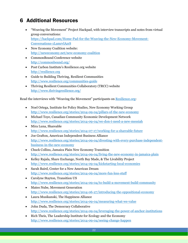# <span id="page-24-0"></span>6 Additional Resources

- "Weaving the Movement" Project Hackpad, with interview transcripts and notes from virtual group conversations: [https://hackpad.com/Home-Pad-for-the-Weaving-the-New-Economy-Movement-](https://hackpad.com/Home-Pad-for-the-Weaving-the-New-Economy-Movement-Conversations-1LumrvlAzrS)[Conversations-1LumrvlAzrS](https://hackpad.com/Home-Pad-for-the-Weaving-the-New-Economy-Movement-Conversations-1LumrvlAzrS)
- New Economy Coalition website: <http://neweconomy.net/new-economy-coalition>
- CommonBound Conference website <http://commonbound.org/>
- Post Carbon Institute's Resilience.org website [http://resilience.org](http://resilience.org/)
- Guide to Building Thriving, Resilient Communities <http://www.resilience.org/communities-guide>
- Thriving Resilient Communities Collaboratory (TRCC) website <http://www.thrivingresilience.org/>

Read the interviews with "Weaving the Movement" participants on [Resilience.org:](http://www.resilience.org/)

- Noel Ortega, Institute for Policy Studies, New Economy Working Group <http://www.resilience.org/stories/2014-09-04/pillars-of-the-new-economy>
- Michael Toye, Canadian Community Economic Development Network <http://www.resilience.org/stories/2014-09-04/we-don-t-need-a-new-messiah>
- Mira Luna, Shareable <http://www.resilience.org/stories/2014-07-17/working-for-a-shareable-future>
- Joe Grafton, American Independent Business Alliance [http://www.resilience.org/stories/2014-09-04/divesting-with-every-purchase-independent](http://www.resilience.org/stories/2014-09-04/divesting-with-every-purchase-independent-business-in-the-new-economy)[business-in-the-new-economy](http://www.resilience.org/stories/2014-09-04/divesting-with-every-purchase-independent-business-in-the-new-economy)
- Chuck Collins, Jamaica Plain New Economy Transition <http://www.resilience.org/stories/2014-09-04/living-the-new-economy-in-jamaica-plain>
- Kelley Rajala, Share Exchange, North Bay Made, & The Livability Project <http://www.resilience.org/stories/2014-09-04/kickstarting-local-economies>
- Sarah Baird, Center for a New American Dream <http://www.resilience.org/stories/2014-09-04/more-fun-less-stuff>
- Carolyne Stayton, Transition US <http://www.resilience.org/stories/2014-09-04/to-build-a-movement-build-community>
- Mateo Nube, Movement Generation <http://www.resilience.org/stories/2014-06-27/introducing-the-oppositional-economy>
- Laura Musikanski, The Happiness Alliance <http://www.resilience.org/stories/2014-09-04/measuring-what-we-value>
- John Duda, The Democracy Collaborative <http://www.resilience.org/stories/2014-09-04/leveraging-the-power-of-anchor-institutions>
- Rich Theis, The Leadership Institute for Ecology and the Economy <http://www.resilience.org/stories/2014-09-04/seeing-change-happen>